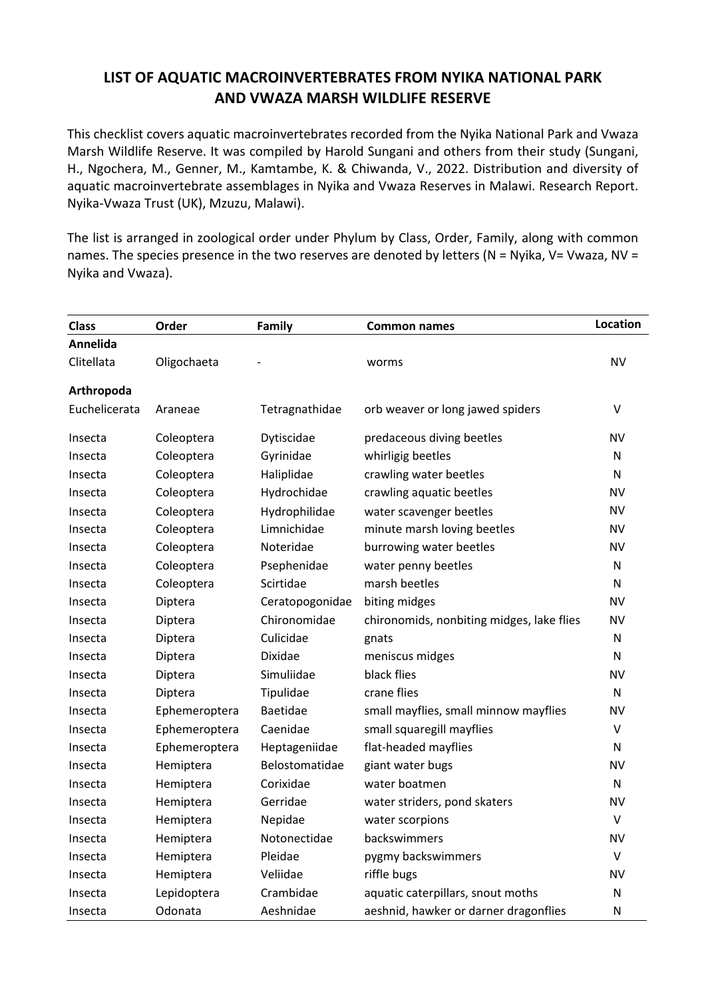## **LIST OF AQUATIC MACROINVERTEBRATES FROM NYIKA NATIONAL PARK AND VWAZA MARSH WILDLIFE RESERVE**

This checklist covers aquatic macroinvertebrates recorded from the Nyika National Park and Vwaza Marsh Wildlife Reserve. It was compiled by Harold Sungani and others from their study (Sungani, H., Ngochera, M., Genner, M., Kamtambe, K. & Chiwanda, V., 2022. Distribution and diversity of aquatic macroinvertebrate assemblages in Nyika and Vwaza Reserves in Malawi. Research Report. Nyika-Vwaza Trust (UK), Mzuzu, Malawi).

The list is arranged in zoological order under Phylum by Class, Order, Family, along with common names. The species presence in the two reserves are denoted by letters ( $N = N$ yika,  $V = V$ waza,  $N$ V = Nyika and Vwaza).

| <b>Class</b>  | Order         | Family          | <b>Common names</b>                       | <b>Location</b> |
|---------------|---------------|-----------------|-------------------------------------------|-----------------|
| Annelida      |               |                 |                                           |                 |
| Clitellata    | Oligochaeta   |                 | worms                                     | <b>NV</b>       |
| Arthropoda    |               |                 |                                           |                 |
| Euchelicerata | Araneae       | Tetragnathidae  | orb weaver or long jawed spiders          | V               |
| Insecta       | Coleoptera    | Dytiscidae      | predaceous diving beetles                 | NV              |
| Insecta       | Coleoptera    | Gyrinidae       | whirligig beetles                         | N               |
| Insecta       | Coleoptera    | Haliplidae      | crawling water beetles                    | $\mathsf{N}$    |
| Insecta       | Coleoptera    | Hydrochidae     | crawling aquatic beetles                  | <b>NV</b>       |
| Insecta       | Coleoptera    | Hydrophilidae   | water scavenger beetles                   | NV              |
| Insecta       | Coleoptera    | Limnichidae     | minute marsh loving beetles               | <b>NV</b>       |
| Insecta       | Coleoptera    | Noteridae       | burrowing water beetles                   | <b>NV</b>       |
| Insecta       | Coleoptera    | Psephenidae     | water penny beetles                       | ${\sf N}$       |
| Insecta       | Coleoptera    | Scirtidae       | marsh beetles                             | N               |
| Insecta       | Diptera       | Ceratopogonidae | biting midges                             | <b>NV</b>       |
| Insecta       | Diptera       | Chironomidae    | chironomids, nonbiting midges, lake flies | <b>NV</b>       |
| Insecta       | Diptera       | Culicidae       | gnats                                     | $\mathsf{N}$    |
| Insecta       | Diptera       | Dixidae         | meniscus midges                           | $\mathsf{N}$    |
| Insecta       | Diptera       | Simuliidae      | black flies                               | NV              |
| Insecta       | Diptera       | Tipulidae       | crane flies                               | $\mathsf{N}$    |
| Insecta       | Ephemeroptera | <b>Baetidae</b> | small mayflies, small minnow mayflies     | <b>NV</b>       |
| Insecta       | Ephemeroptera | Caenidae        | small squaregill mayflies                 | V               |
| Insecta       | Ephemeroptera | Heptageniidae   | flat-headed mayflies                      | N               |
| Insecta       | Hemiptera     | Belostomatidae  | giant water bugs                          | <b>NV</b>       |
| Insecta       | Hemiptera     | Corixidae       | water boatmen                             | $\mathsf{N}$    |
| Insecta       | Hemiptera     | Gerridae        | water striders, pond skaters              | <b>NV</b>       |
| Insecta       | Hemiptera     | Nepidae         | water scorpions                           | V               |
| Insecta       | Hemiptera     | Notonectidae    | backswimmers                              | <b>NV</b>       |
| Insecta       | Hemiptera     | Pleidae         | pygmy backswimmers                        | $\mathsf{V}$    |
| Insecta       | Hemiptera     | Veliidae        | riffle bugs                               | <b>NV</b>       |
| Insecta       | Lepidoptera   | Crambidae       | aquatic caterpillars, snout moths         | ${\sf N}$       |
| Insecta       | Odonata       | Aeshnidae       | aeshnid, hawker or darner dragonflies     | N               |